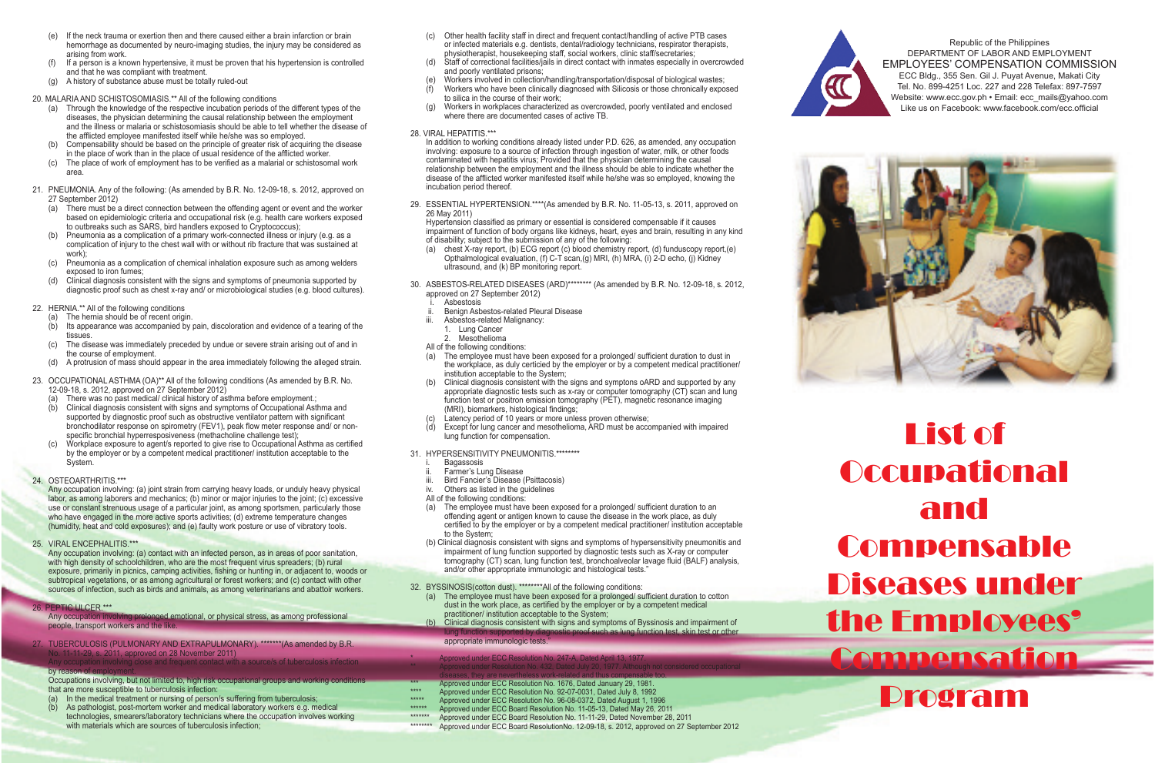- (e) If the neck trauma or exertion then and there caused either a brain infarction or brain hemorrhage as documented by neuro-imaging studies, the injury may be considered as arising from work.
- (f) If a person is a known hypertensive, it must be proven that his hypertension is controlled and that he was compliant with treatment.
- (g) A history of substance abuse must be totally ruled-out

### 20. MALARIA AND SCHISTOSOMIASIS.\*\* All of the following conditions

- (a) Through the knowledge of the respective incubation periods of the different types of the diseases, the physician determining the causal relationship between the employment and the illness or malaria or schistosomiasis should be able to tell whether the disease of the afflicted employee manifested itself while he/she was so employed.
- (b) Compensability should be based on the principle of greater risk of acquiring the disease in the place of work than in the place of usual residence of the afflicted worker.
- (c) The place of work of employment has to be verified as a malarial or schistosomal work area.
- 21. PNEUMONIA. Any of the following: (As amended by B.R. No. 12-09-18, s. 2012, approved on 27 September 2012)
	- (a) There must be a direct connection between the offending agent or event and the worker based on epidemiologic criteria and occupational risk (e.g. health care workers exposed to outbreaks such as SARS, bird handlers exposed to Cryptococcus);
	- (b) Pneumonia as a complication of a primary work-connected illness or injury (e.g. as a complication of injury to the chest wall with or without rib fracture that was sustained at work);
	- (c) Pneumonia as a complication of chemical inhalation exposure such as among welders exposed to iron fumes;
	- (d) Clinical diagnosis consistent with the signs and symptoms of pneumonia supported by diagnostic proof such as chest x-ray and/ or microbiological studies (e.g. blood cultures).
- 22. HERNIA.\*\* All of the following conditions
	- (a) The hernia should be of recent origin.
	- (b) Its appearance was accompanied by pain, discoloration and evidence of a tearing of the tissues.
	- (c) The disease was immediately preceded by undue or severe strain arising out of and in the course of employment.
	- (d) A protrusion of mass should appear in the area immediately following the alleged strain.
- 23. OCCUPATIONAL ASTHMA (OA)\*\* All of the following conditions (As amended by B.R. No. 12-09-18, s. 2012, approved on 27 September 2012)
	- (a) There was no past medical/ clinical history of asthma before employment.;
	- (b) Clinical diagnosis consistent with signs and symptoms of Occupational Asthma and supported by diagnostic proof such as obstructive ventilator pattern with significant bronchodilator response on spirometry (FEV1), peak flow meter response and/ or nonspecific bronchial hyperresposiveness (methacholine challenge test);
	- Workplace exposure to agent/s reported to give rise to Occupational Asthma as certified by the employer or by a competent medical practitioner/ institution acceptable to the System.
- 24. OSTEOARTHRITIS.\*\*\*
	- Any occupation involving: (a) joint strain from carrying heavy loads, or unduly heavy physical labor, as among laborers and mechanics; (b) minor or major injuries to the joint; (c) excessive use or constant strenuous usage of a particular joint, as among sportsmen, particularly those who have engaged in the more active sports activities; (d) extreme temperature changes (humidity, heat and cold exposures); and (e) faulty work posture or use of vibratory tools.
- 25. VIRAL ENCEPHALITIS.\*\*\*
	- Any occupation involving: (a) contact with an infected person, as in areas of poor sanitation, with high density of schoolchildren, who are the most frequent virus spreaders; (b) rural exposure, primarily in picnics, camping activities, fishing or hunting in, or adjacent to, woods or subtropical vegetations, or as among agricultural or forest workers; and (c) contact with other sources of infection, such as birds and animals, as among veterinarians and abattoir workers.
- 26. PEPTIC ULCER.\*\*\*

Any occupation involving prolonged emotional, or physical stress, as among professional people, transport workers and the like.

27. TUBERCULOSIS (PULMONARY AND EXTRAPULMONARY). \*\*\*\*\*\*\* (As amended by B.R. No. 11-11-29, s. 2011, approved on 28 November 2011) involving close and frequent contact with a source/s of tuberculosis infection

## by reason of

Occupations involving, but not limited to, high risk occupational groups and working conditions that are more susceptible to tuberculosis infection:

- (a) In the medical treatment or nursing of person/s suffering from tuberculosis;
- (b) As pathologist, post-mortem worker and medical laboratory workers e.g. medical technologies, smearers/laboratory technicians where the occupation involves working with materials which are sources of tuberculosis infection;
- (c) Other health facility staff in direct and frequent contact/handling of active PTB cases or infected materials e.g. dentists, dental/radiology technicians, respirator therapists, physiotherapist, housekeeping staff, social workers, clinic staff/secretaries;
- (d) Staff of correctional facilities/jails in direct contact with inmates especially in overcrowded and poorly ventilated prisons;
- Workers involved in collection/handling/transportation/disposal of biological wastes; (f) Workers who have been clinically diagnosed with Silicosis or those chronically exposed
- to silica in the course of their work;
- Workers in workplaces characterized as overcrowded, poorly ventilated and enclosed where there are documented cases of active TB.
- 28. VIRAL HEPATITIS. \*\*\*

In addition to working conditions already listed under P.D. 626, as amended, any occupation involving: exposure to a source of infection through ingestion of water, milk, or other foods contaminated with hepatitis virus; Provided that the physician determining the causal relationship between the employment and the illness should be able to indicate whether the disease of the afflicted worker manifested itself while he/she was so employed, knowing the incubation period thereof.

29. ESSENTIAL HYPERTENSION.\*\*\*\*(As amended by B.R. No. 11-05-13, s. 2011, approved on 26 May 2011)

Hypertension classified as primary or essential is considered compensable if it causes impairment of function of body organs like kidneys, heart, eyes and brain, resulting in any kind of disability; subject to the submission of any of the following:

- (a) chest X-ray report, (b) ECG report (c) blood chemistry report, (d) funduscopy report,(e) Opthalmological evaluation, (f) C-T scan,(g) MRI, (h) MRA, (i) 2-D echo, (j) Kidney ultrasound, and (k) BP monitoring report.
- 30. ASBESTOS-RELATED DISEASES (ARD)\*\*\*\*\*\*\*\* (As amended by B.R. No. 12-09-18, s. 2012, approved on 27 September 2012)
	- Asbestosis
	- ii. Benign Asbestos-related Pleural Disease<br>iii. Asbestos-related Malignancy:
	- Asbestos-related Malignancy:
	- 1. Lung Cancer
	- 2. Mesothelioma
	- All of the following conditions:
	- The employee must have been exposed for a prolonged/ sufficient duration to dust in the workplace, as duly certicied by the employer or by a competent medical practitioner/ institution acceptable to the System;
	- Clinical diagnosis consistent with the signs and symptons oARD and supported by any appropriate diagnostic tests such as x-ray or computer tomography (CT) scan and lung function test or positron emission tomography (PET), magnetic resonance imaging (MRI), biomarkers, histological findings;
	- Latency period of 10 years or more unless proven otherwise;
	- Except for lung cancer and mesothelioma, ARD must be accompanied with impaired lung function for compensation.
- 31. HYPERSENSITIVITY PNEUMONITIS.\*\*\*\*\*\*\*\*
	- **Bagassosis**
	- Farmer's Lung Disease
	- iii. Bird Fancier's Disease (Psittacosis)<br>iv. Others as listed in the quidelines
	- Others as listed in the guidelines
	- All of the following conditions:<br>(a) The employee must have
	- The employee must have been exposed for a prolonged/ sufficient duration to an offending agent or antigen known to cause the disease in the work place, as duly certified to by the employer or by a competent medical practitioner/ institution acceptable to the System;
	- (b) Clinical diagnosis consistent with signs and symptoms of hypersensitivity pneumonitis and impairment of lung function supported by diagnostic tests such as X-ray or computer tomography (CT) scan, lung function test, bronchoalveolar lavage fluid (BALF) analysis, and/or other appropriate immunologic and histological tests."

32. BYSSINOSIS(cotton dust). \*\*\*\*\*\*\*\*All of the following conditions:

- (a) The employee must have been exposed for a prolonged/ sufficient duration to cotton dust in the work place, as certified by the employer or by a competent medical practitioner/ institution acceptable to the System;
- (b) Clinical diagnosis consistent with signs and symptoms of Byssinosis and impairment of lung function supported by diagnostic proof such as lung function test, skin test or other

appropriate immunologic tests.

- Approved under ECC Resolution No. 247-A, Dated April 13, 1977.
- er Resolution No. 432, Dated July 20, 1977. Although not considered occupational
- diseases, they are nevertheless work-related and thus compensable too. \*\*\* Approved under ECC Resolution No. 1676, Dated January 29, 1981.
- \*\*\*\* Approved under ECC Resolution No. 92-07-0031, Dated July 8, 1992
- \*\*\*\*\* Approved under ECC Resolution No. 96-08-0372, Dated August 1, 1996
	- Approved under ECC Board Resolution No. 11-05-13, Dated May 26, 2011
- \*\*\*\*\*\*\* Approved under ECC Board Resolution No. 11-11-29, Dated November 28, 2011 \*\*\*\*\*\*\*\* Approved under ECC Board ResolutionNo. 12-09-18, s. 2012, approved on 27 September 2012



Republic of the Philippines DEPARTMENT OF LABOR AND EMPLOYMENT EMPLOYEES' COMPENSATION COMMISSION ECC Bldg., 355 Sen. Gil J. Puyat Avenue, Makati City Tel. No. 899-4251 Loc. 227 and 228 Telefax: 897-7597 Website: www.ecc.gov.ph • Email: ecc\_mails@yahoo.com Like us on Facebook: www.facebook.com/ecc.official



List of Occupational and Compensable Diseases under the Employees' Compensation